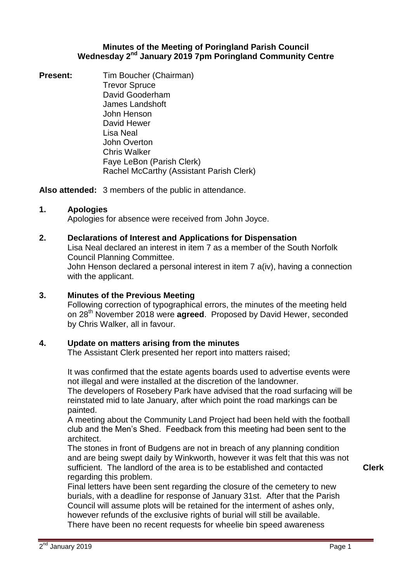## **Minutes of the Meeting of Poringland Parish Council**  Wednesday 2<sup>nd</sup> January 2019 7pm Poringland Community Centre

**Present:** Tim Boucher (Chairman) Trevor Spruce David Gooderham James Landshoft John Henson David Hewer Lisa Neal John Overton Chris Walker Faye LeBon (Parish Clerk) Rachel McCarthy (Assistant Parish Clerk)

**Also attended:** 3 members of the public in attendance.

# **1. Apologies**

Apologies for absence were received from John Joyce.

## **2. Declarations of Interest and Applications for Dispensation**

Lisa Neal declared an interest in item 7 as a member of the South Norfolk Council Planning Committee.

John Henson declared a personal interest in item 7 a(iv), having a connection with the applicant.

## **3. Minutes of the Previous Meeting**

Following correction of typographical errors, the minutes of the meeting held on 28th November 2018 were **agreed**. Proposed by David Hewer, seconded by Chris Walker, all in favour.

## **4. Update on matters arising from the minutes**

The Assistant Clerk presented her report into matters raised;

It was confirmed that the estate agents boards used to advertise events were not illegal and were installed at the discretion of the landowner.

The developers of Rosebery Park have advised that the road surfacing will be reinstated mid to late January, after which point the road markings can be painted.

A meeting about the Community Land Project had been held with the football club and the Men's Shed. Feedback from this meeting had been sent to the architect.

The stones in front of Budgens are not in breach of any planning condition and are being swept daily by Winkworth, however it was felt that this was not sufficient. The landlord of the area is to be established and contacted regarding this problem.

**Clerk**

Final letters have been sent regarding the closure of the cemetery to new burials, with a deadline for response of January 31st. After that the Parish Council will assume plots will be retained for the interment of ashes only, however refunds of the exclusive rights of burial will still be available. There have been no recent requests for wheelie bin speed awareness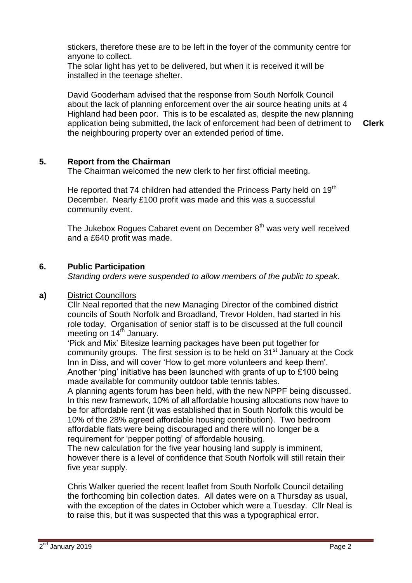stickers, therefore these are to be left in the foyer of the community centre for anyone to collect.

The solar light has yet to be delivered, but when it is received it will be installed in the teenage shelter.

David Gooderham advised that the response from South Norfolk Council about the lack of planning enforcement over the air source heating units at 4 Highland had been poor. This is to be escalated as, despite the new planning application being submitted, the lack of enforcement had been of detriment to the neighbouring property over an extended period of time. **Clerk**

# **5. Report from the Chairman**

The Chairman welcomed the new clerk to her first official meeting.

He reported that 74 children had attended the Princess Party held on 19<sup>th</sup> December. Nearly £100 profit was made and this was a successful community event.

The Jukebox Rogues Cabaret event on December 8<sup>th</sup> was very well received and a £640 profit was made.

# **6. Public Participation**

*Standing orders were suspended to allow members of the public to speak.*

### **a)** District Councillors

Cllr Neal reported that the new Managing Director of the combined district councils of South Norfolk and Broadland, Trevor Holden, had started in his role today. Organisation of senior staff is to be discussed at the full council meeting on  $14<sup>th</sup>$  January.

'Pick and Mix' Bitesize learning packages have been put together for community groups. The first session is to be held on  $31<sup>st</sup>$  January at the Cock Inn in Diss, and will cover 'How to get more volunteers and keep them'. Another 'ping' initiative has been launched with grants of up to £100 being made available for community outdoor table tennis tables.

A planning agents forum has been held, with the new NPPF being discussed. In this new framework, 10% of all affordable housing allocations now have to be for affordable rent (it was established that in South Norfolk this would be 10% of the 28% agreed affordable housing contribution). Two bedroom affordable flats were being discouraged and there will no longer be a requirement for 'pepper potting' of affordable housing.

The new calculation for the five year housing land supply is imminent, however there is a level of confidence that South Norfolk will still retain their five year supply.

Chris Walker queried the recent leaflet from South Norfolk Council detailing the forthcoming bin collection dates. All dates were on a Thursday as usual, with the exception of the dates in October which were a Tuesday. Cllr Neal is to raise this, but it was suspected that this was a typographical error.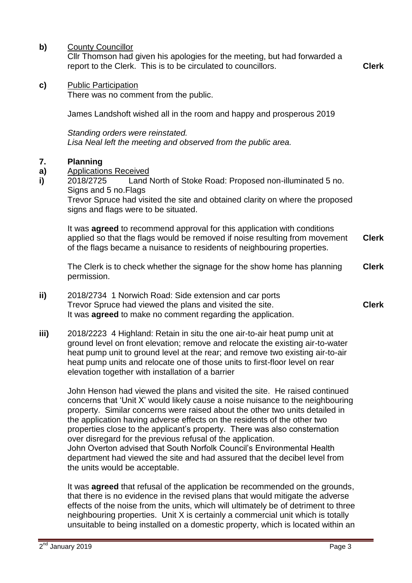**b)** County Councillor

Cllr Thomson had given his apologies for the meeting, but had forwarded a report to the Clerk. This is to be circulated to councillors. **Clerk**

**c)** Public Participation

There was no comment from the public.

James Landshoft wished all in the room and happy and prosperous 2019

*Standing orders were reinstated. Lisa Neal left the meeting and observed from the public area.*

#### **7. Planning**

- **a)** Applications Received
- **i)** 2018/2725 Land North of Stoke Road: Proposed non-illuminated 5 no. Signs and 5 no.Flags

Trevor Spruce had visited the site and obtained clarity on where the proposed signs and flags were to be situated.

It was **agreed** to recommend approval for this application with conditions applied so that the flags would be removed if noise resulting from movement of the flags became a nuisance to residents of neighbouring properties. **Clerk**

The Clerk is to check whether the signage for the show home has planning permission. **Clerk**

- **ii)** 2018/2734 1 Norwich Road: Side extension and car ports Trevor Spruce had viewed the plans and visited the site. It was **agreed** to make no comment regarding the application. **Clerk**
- **iii)** 2018/2223 4 Highland: Retain in situ the one air-to-air heat pump unit at ground level on front elevation; remove and relocate the existing air-to-water heat pump unit to ground level at the rear; and remove two existing air-to-air heat pump units and relocate one of those units to first-floor level on rear elevation together with installation of a barrier

John Henson had viewed the plans and visited the site. He raised continued concerns that 'Unit X' would likely cause a noise nuisance to the neighbouring property. Similar concerns were raised about the other two units detailed in the application having adverse effects on the residents of the other two properties close to the applicant's property. There was also consternation over disregard for the previous refusal of the application. John Overton advised that South Norfolk Council's Environmental Health department had viewed the site and had assured that the decibel level from the units would be acceptable.

It was **agreed** that refusal of the application be recommended on the grounds, that there is no evidence in the revised plans that would mitigate the adverse effects of the noise from the units, which will ultimately be of detriment to three neighbouring properties. Unit X is certainly a commercial unit which is totally unsuitable to being installed on a domestic property, which is located within an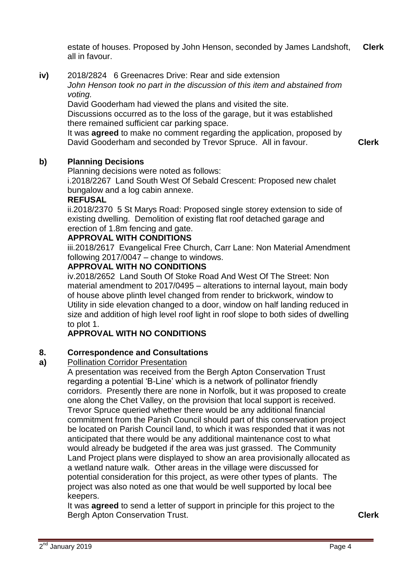estate of houses. Proposed by John Henson, seconded by James Landshoft, all in favour. **Clerk**

**iv)** 2018/2824 6 Greenacres Drive: Rear and side extension *John Henson took no part in the discussion of this item and abstained from voting.* 

David Gooderham had viewed the plans and visited the site.

Discussions occurred as to the loss of the garage, but it was established there remained sufficient car parking space.

It was **agreed** to make no comment regarding the application, proposed by David Gooderham and seconded by Trevor Spruce. All in favour.

**Clerk**

#### **b) Planning Decisions**

Planning decisions were noted as follows:

i.2018/2267 Land South West Of Sebald Crescent: Proposed new chalet bungalow and a log cabin annexe.

### **REFUSAL**

ii.2018/2370 5 St Marys Road: Proposed single storey extension to side of existing dwelling. Demolition of existing flat roof detached garage and erection of 1.8m fencing and gate.

## **APPROVAL WITH CONDITIONS**

iii.2018/2617 Evangelical Free Church, Carr Lane: Non Material Amendment following 2017/0047 – change to windows.

## **APPROVAL WITH NO CONDITIONS**

iv.2018/2652 Land South Of Stoke Road And West Of The Street: Non material amendment to 2017/0495 – alterations to internal layout, main body of house above plinth level changed from render to brickwork, window to Utility in side elevation changed to a door, window on half landing reduced in size and addition of high level roof light in roof slope to both sides of dwelling to plot 1.

# **APPROVAL WITH NO CONDITIONS**

#### **8. Correspondence and Consultations**

#### **a)** Pollination Corridor Presentation

A presentation was received from the Bergh Apton Conservation Trust regarding a potential 'B-Line' which is a network of pollinator friendly corridors. Presently there are none in Norfolk, but it was proposed to create one along the Chet Valley, on the provision that local support is received. Trevor Spruce queried whether there would be any additional financial commitment from the Parish Council should part of this conservation project be located on Parish Council land, to which it was responded that it was not anticipated that there would be any additional maintenance cost to what would already be budgeted if the area was just grassed. The Community Land Project plans were displayed to show an area provisionally allocated as a wetland nature walk. Other areas in the village were discussed for potential consideration for this project, as were other types of plants. The project was also noted as one that would be well supported by local bee keepers.

It was **agreed** to send a letter of support in principle for this project to the Bergh Apton Conservation Trust. **Clerk**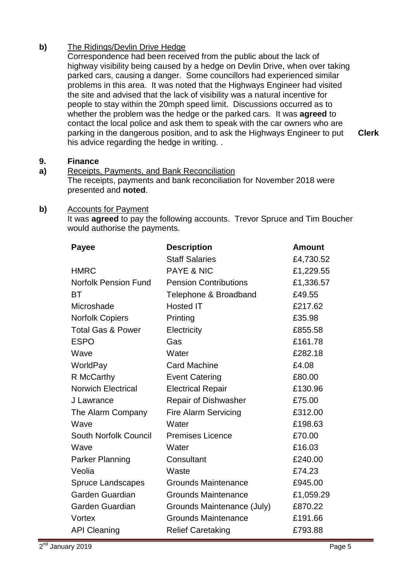# **b)** The Ridings/Devlin Drive Hedge

Correspondence had been received from the public about the lack of highway visibility being caused by a hedge on Devlin Drive, when over taking parked cars, causing a danger. Some councillors had experienced similar problems in this area. It was noted that the Highways Engineer had visited the site and advised that the lack of visibility was a natural incentive for people to stay within the 20mph speed limit. Discussions occurred as to whether the problem was the hedge or the parked cars. It was **agreed** to contact the local police and ask them to speak with the car owners who are parking in the dangerous position, and to ask the Highways Engineer to put his advice regarding the hedge in writing. .

**Clerk**

#### **9. Finance**

### **a)** Receipts, Payments, and Bank Reconciliation

The receipts, payments and bank reconciliation for November 2018 were presented and **noted**.

### **b)** Accounts for Payment

It was **agreed** to pay the following accounts. Trevor Spruce and Tim Boucher would authorise the payments.

| <b>Payee</b>                 | <b>Description</b>           | <b>Amount</b> |
|------------------------------|------------------------------|---------------|
|                              | <b>Staff Salaries</b>        | £4,730.52     |
| <b>HMRC</b>                  | <b>PAYE &amp; NIC</b>        | £1,229.55     |
| <b>Norfolk Pension Fund</b>  | <b>Pension Contributions</b> | £1,336.57     |
| BT                           | Telephone & Broadband        | £49.55        |
| Microshade                   | <b>Hosted IT</b>             | £217.62       |
| <b>Norfolk Copiers</b>       | Printing                     | £35.98        |
| <b>Total Gas &amp; Power</b> | Electricity                  | £855.58       |
| <b>ESPO</b>                  | Gas                          | £161.78       |
| Wave                         | Water                        | £282.18       |
| WorldPay                     | <b>Card Machine</b>          | £4.08         |
| R McCarthy                   | <b>Event Catering</b>        | £80.00        |
| <b>Norwich Electrical</b>    | <b>Electrical Repair</b>     | £130.96       |
| J Lawrance                   | Repair of Dishwasher         | £75.00        |
| The Alarm Company            | <b>Fire Alarm Servicing</b>  | £312.00       |
| Wave                         | Water                        | £198.63       |
| <b>South Norfolk Council</b> | <b>Premises Licence</b>      | £70.00        |
| Wave                         | Water                        | £16.03        |
| <b>Parker Planning</b>       | Consultant                   | £240.00       |
| Veolia                       | Waste                        | £74.23        |
| <b>Spruce Landscapes</b>     | <b>Grounds Maintenance</b>   | £945.00       |
| <b>Garden Guardian</b>       | <b>Grounds Maintenance</b>   | £1,059.29     |
| Garden Guardian              | Grounds Maintenance (July)   | £870.22       |
| Vortex                       | <b>Grounds Maintenance</b>   | £191.66       |
| <b>API Cleaning</b>          | <b>Relief Caretaking</b>     | £793.88       |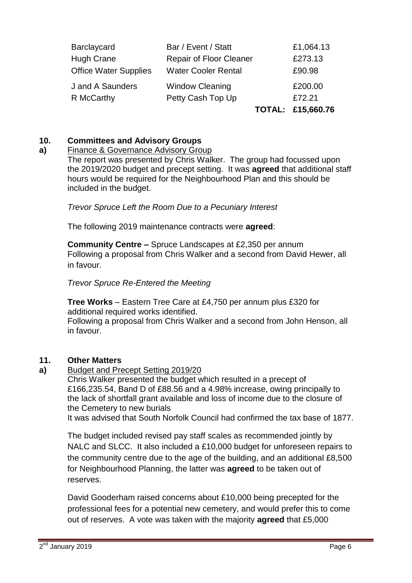|                              |                            | TOTAL: £15,660.76 |
|------------------------------|----------------------------|-------------------|
| R McCarthy                   | Petty Cash Top Up          | £72.21            |
| J and A Saunders             | <b>Window Cleaning</b>     | £200.00           |
| <b>Office Water Supplies</b> | <b>Water Cooler Rental</b> | £90.98            |
| <b>Hugh Crane</b>            | Repair of Floor Cleaner    | £273.13           |
| <b>Barclaycard</b>           | Bar / Event / Statt        | £1,064.13         |

### **10. Committees and Advisory Groups**

#### **a)** Finance & Governance Advisory Group

The report was presented by Chris Walker. The group had focussed upon the 2019/2020 budget and precept setting. It was **agreed** that additional staff hours would be required for the Neighbourhood Plan and this should be included in the budget.

*Trevor Spruce Left the Room Due to a Pecuniary Interest*

The following 2019 maintenance contracts were **agreed**:

**Community Centre –** Spruce Landscapes at £2,350 per annum Following a proposal from Chris Walker and a second from David Hewer, all in favour.

*Trevor Spruce Re-Entered the Meeting*

**Tree Works** – Eastern Tree Care at £4,750 per annum plus £320 for additional required works identified.

Following a proposal from Chris Walker and a second from John Henson, all in favour.

### **11. Other Matters**

**a)**  Budget and Precept Setting 2019/20

Chris Walker presented the budget which resulted in a precept of £166,235.54, Band D of £88.56 and a 4.98% increase, owing principally to the lack of shortfall grant available and loss of income due to the closure of the Cemetery to new burials

It was advised that South Norfolk Council had confirmed the tax base of 1877.

The budget included revised pay staff scales as recommended jointly by NALC and SLCC. It also included a £10,000 budget for unforeseen repairs to the community centre due to the age of the building, and an additional £8,500 for Neighbourhood Planning, the latter was **agreed** to be taken out of reserves.

David Gooderham raised concerns about £10,000 being precepted for the professional fees for a potential new cemetery, and would prefer this to come out of reserves. A vote was taken with the majority **agreed** that £5,000